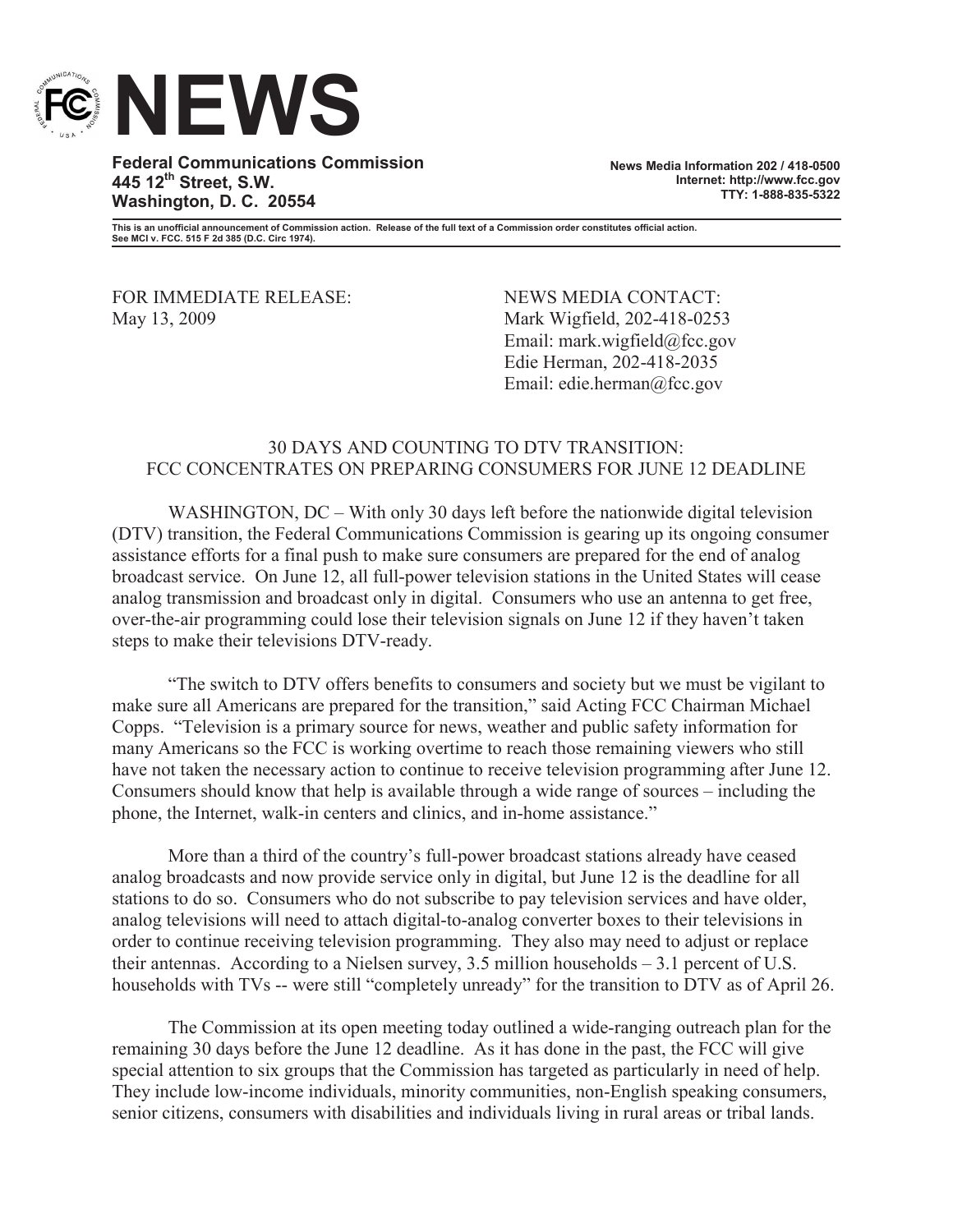

**Federal Communications Commission 445 12th Street, S.W. Washington, D. C. 20554**

**News Media Information 202 / 418-0500 Internet: http://www.fcc.gov TTY: 1-888-835-5322**

**This is an unofficial announcement of Commission action. Release of the full text of a Commission order constitutes official action. See MCI v. FCC. 515 F 2d 385 (D.C. Circ 1974).**

FOR IMMEDIATE RELEASE: NEWS MEDIA CONTACT: May 13, 2009 Mark Wigfield, 202-418-0253

Email: mark.wigfield@fcc.gov Edie Herman, 202-418-2035 Email: edie.herman@fcc.gov

## 30 DAYS AND COUNTING TO DTV TRANSITION: FCC CONCENTRATES ON PREPARING CONSUMERS FOR JUNE 12 DEADLINE

WASHINGTON, DC – With only 30 days left before the nationwide digital television (DTV) transition, the Federal Communications Commission is gearing up its ongoing consumer assistance efforts for a final push to make sure consumers are prepared for the end of analog broadcast service. On June 12, all full-power television stations in the United States will cease analog transmission and broadcast only in digital. Consumers who use an antenna to get free, over-the-air programming could lose their television signals on June 12 if they haven't taken steps to make their televisions DTV-ready.

"The switch to DTV offers benefits to consumers and society but we must be vigilant to make sure all Americans are prepared for the transition," said Acting FCC Chairman Michael Copps. "Television is a primary source for news, weather and public safety information for many Americans so the FCC is working overtime to reach those remaining viewers who still have not taken the necessary action to continue to receive television programming after June 12. Consumers should know that help is available through a wide range of sources – including the phone, the Internet, walk-in centers and clinics, and in-home assistance."

More than a third of the country's full-power broadcast stations already have ceased analog broadcasts and now provide service only in digital, but June 12 is the deadline for all stations to do so. Consumers who do not subscribe to pay television services and have older, analog televisions will need to attach digital-to-analog converter boxes to their televisions in order to continue receiving television programming. They also may need to adjust or replace their antennas. According to a Nielsen survey, 3.5 million households – 3.1 percent of U.S. households with TVs -- were still "completely unready" for the transition to DTV as of April 26.

The Commission at its open meeting today outlined a wide-ranging outreach plan for the remaining 30 days before the June 12 deadline. As it has done in the past, the FCC will give special attention to six groups that the Commission has targeted as particularly in need of help. They include low-income individuals, minority communities, non-English speaking consumers, senior citizens, consumers with disabilities and individuals living in rural areas or tribal lands.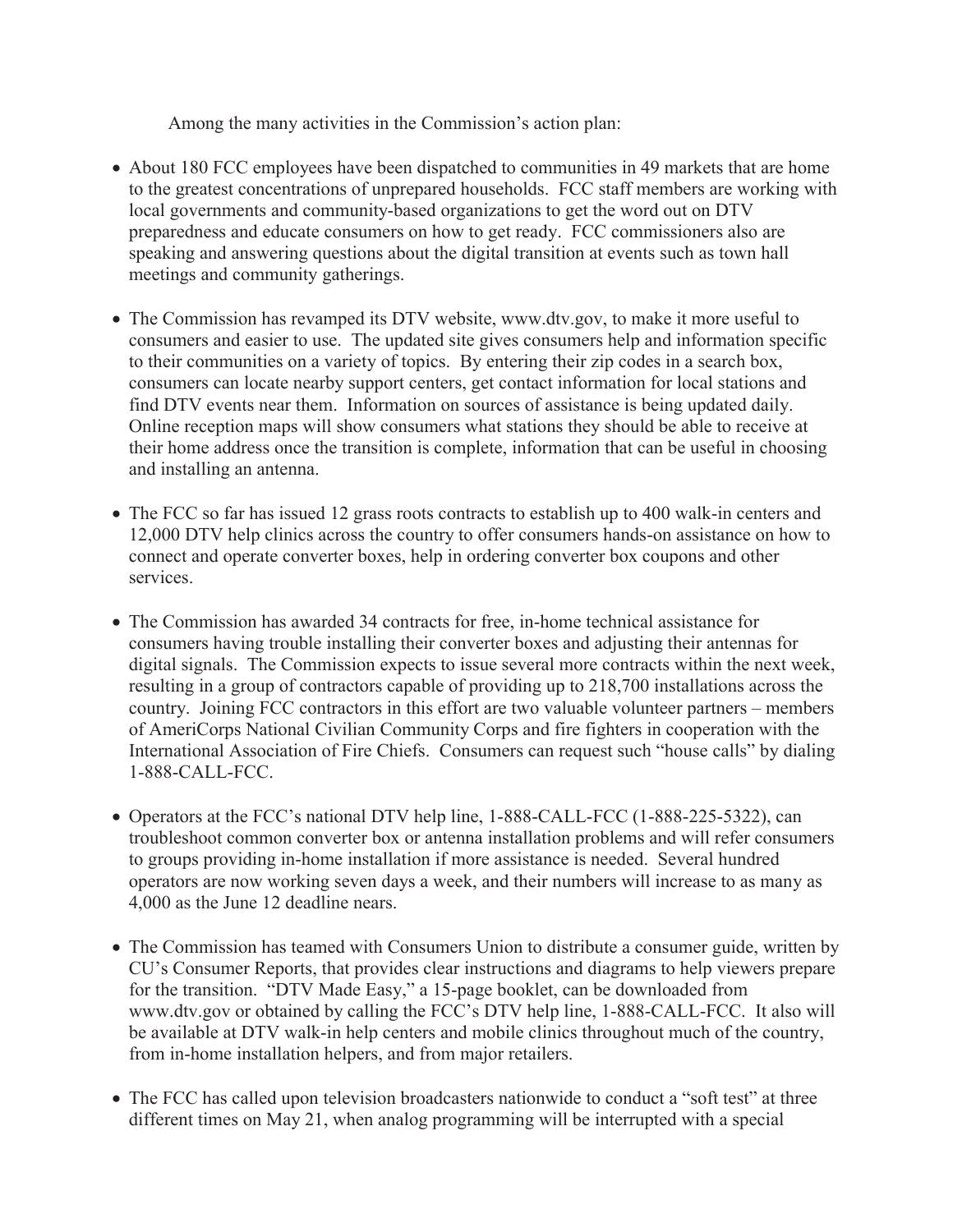Among the many activities in the Commission's action plan:

- About 180 FCC employees have been dispatched to communities in 49 markets that are home to the greatest concentrations of unprepared households. FCC staff members are working with local governments and community-based organizations to get the word out on DTV preparedness and educate consumers on how to get ready. FCC commissioners also are speaking and answering questions about the digital transition at events such as town hall meetings and community gatherings.
- · The Commission has revamped its DTV website, www.dtv.gov, to make it more useful to consumers and easier to use. The updated site gives consumers help and information specific to their communities on a variety of topics. By entering their zip codes in a search box, consumers can locate nearby support centers, get contact information for local stations and find DTV events near them. Information on sources of assistance is being updated daily. Online reception maps will show consumers what stations they should be able to receive at their home address once the transition is complete, information that can be useful in choosing and installing an antenna.
- The FCC so far has issued 12 grass roots contracts to establish up to 400 walk-in centers and 12,000 DTV help clinics across the country to offer consumers hands-on assistance on how to connect and operate converter boxes, help in ordering converter box coupons and other services.
- · The Commission has awarded 34 contracts for free, in-home technical assistance for consumers having trouble installing their converter boxes and adjusting their antennas for digital signals. The Commission expects to issue several more contracts within the next week, resulting in a group of contractors capable of providing up to 218,700 installations across the country. Joining FCC contractors in this effort are two valuable volunteer partners – members of AmeriCorps National Civilian Community Corps and fire fighters in cooperation with the International Association of Fire Chiefs. Consumers can request such "house calls" by dialing 1-888-CALL-FCC.
- · Operators at the FCC's national DTV help line, 1-888-CALL-FCC (1-888-225-5322), can troubleshoot common converter box or antenna installation problems and will refer consumers to groups providing in-home installation if more assistance is needed. Several hundred operators are now working seven days a week, and their numbers will increase to as many as 4,000 as the June 12 deadline nears.
- · The Commission has teamed with Consumers Union to distribute a consumer guide, written by CU's Consumer Reports, that provides clear instructions and diagrams to help viewers prepare for the transition. "DTV Made Easy," a 15-page booklet, can be downloaded from www.dtv.gov or obtained by calling the FCC's DTV help line, 1-888-CALL-FCC. It also will be available at DTV walk-in help centers and mobile clinics throughout much of the country, from in-home installation helpers, and from major retailers.
- The FCC has called upon television broadcasters nationwide to conduct a "soft test" at three different times on May 21, when analog programming will be interrupted with a special